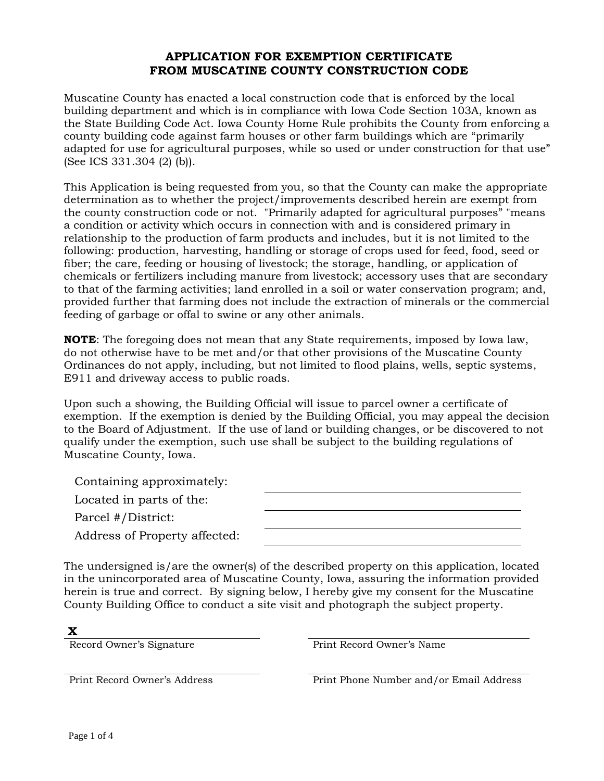### **APPLICATION FOR EXEMPTION CERTIFICATE FROM MUSCATINE COUNTY CONSTRUCTION CODE**

Muscatine County has enacted a local construction code that is enforced by the local building department and which is in compliance with Iowa Code Section 103A, known as the State Building Code Act. Iowa County Home Rule prohibits the County from enforcing a county building code against farm houses or other farm buildings which are "primarily adapted for use for agricultural purposes, while so used or under construction for that use" (See ICS 331.304 (2) (b)).

This Application is being requested from you, so that the County can make the appropriate determination as to whether the project/improvements described herein are exempt from the county construction code or not. "Primarily adapted for agricultural purposes" "means a condition or activity which occurs in connection with and is considered primary in relationship to the production of farm products and includes, but it is not limited to the following: production, harvesting, handling or storage of crops used for feed, food, seed or fiber; the care, feeding or housing of livestock; the storage, handling, or application of chemicals or fertilizers including manure from livestock; accessory uses that are secondary to that of the farming activities; land enrolled in a soil or water conservation program; and, provided further that farming does not include the extraction of minerals or the commercial feeding of garbage or offal to swine or any other animals.

**NOTE**: The foregoing does not mean that any State requirements, imposed by Iowa law, do not otherwise have to be met and/or that other provisions of the Muscatine County Ordinances do not apply, including, but not limited to flood plains, wells, septic systems, E911 and driveway access to public roads.

Upon such a showing, the Building Official will issue to parcel owner a certificate of exemption. If the exemption is denied by the Building Official, you may appeal the decision to the Board of Adjustment. If the use of land or building changes, or be discovered to not qualify under the exemption, such use shall be subject to the building regulations of Muscatine County, Iowa.

| Containing approximately:     |  |
|-------------------------------|--|
| Located in parts of the:      |  |
| Parcel #/District:            |  |
| Address of Property affected: |  |

The undersigned is/are the owner(s) of the described property on this application, located in the unincorporated area of Muscatine County, Iowa, assuring the information provided herein is true and correct. By signing below, I hereby give my consent for the Muscatine County Building Office to conduct a site visit and photograph the subject property.

## **X**

Record Owner's Signature **Print Record Owner's Name** 

Print Record Owner's Address Print Phone Number and/or Email Address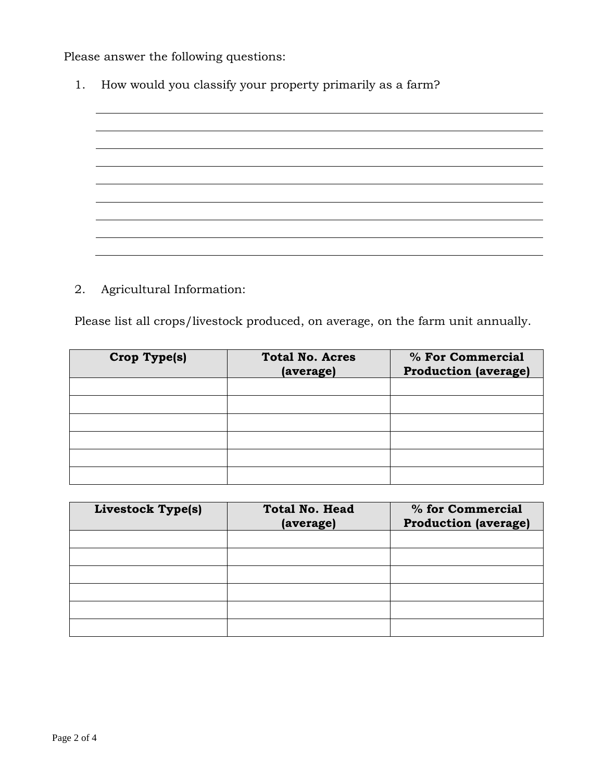Please answer the following questions:

1. How would you classify your property primarily as a farm?



2. Agricultural Information:

Please list all crops/livestock produced, on average, on the farm unit annually.

| Crop Type(s) | <b>Total No. Acres</b><br>(average) | % For Commercial<br><b>Production (average)</b> |
|--------------|-------------------------------------|-------------------------------------------------|
|              |                                     |                                                 |
|              |                                     |                                                 |
|              |                                     |                                                 |
|              |                                     |                                                 |
|              |                                     |                                                 |
|              |                                     |                                                 |

| Livestock Type(s) | <b>Total No. Head</b><br>(average) | % for Commercial<br><b>Production (average)</b> |
|-------------------|------------------------------------|-------------------------------------------------|
|                   |                                    |                                                 |
|                   |                                    |                                                 |
|                   |                                    |                                                 |
|                   |                                    |                                                 |
|                   |                                    |                                                 |
|                   |                                    |                                                 |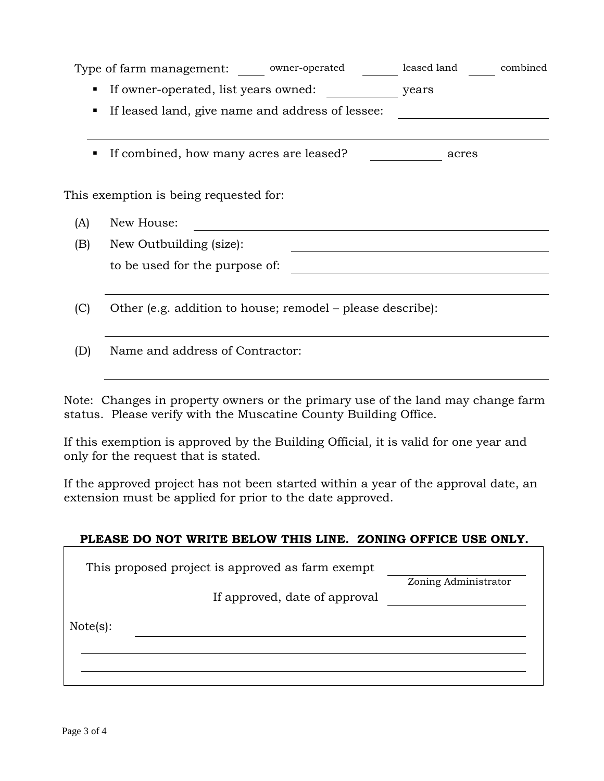|     | Type of farm management: owner-operated                    | leased land | combined |
|-----|------------------------------------------------------------|-------------|----------|
|     | If owner-operated, list years owned:<br>п.                 | years       |          |
|     | If leased land, give name and address of lessee:<br>п      |             |          |
|     |                                                            |             |          |
|     | If combined, how many acres are leased?<br>п               | acres       |          |
|     |                                                            |             |          |
|     | This exemption is being requested for:                     |             |          |
| (A) | New House:                                                 |             |          |
| (B) | New Outbuilding (size):                                    |             |          |
|     | to be used for the purpose of:                             |             |          |
|     |                                                            |             |          |
| (C) | Other (e.g. addition to house; remodel – please describe): |             |          |
|     |                                                            |             |          |
| D   | Name and address of Contractor:                            |             |          |

Note: Changes in property owners or the primary use of the land may change farm status. Please verify with the Muscatine County Building Office.

If this exemption is approved by the Building Official, it is valid for one year and only for the request that is stated.

If the approved project has not been started within a year of the approval date, an extension must be applied for prior to the date approved.

| PLEASE DO NOT WRITE BELOW THIS LINE. ZONING OFFICE USE ONLY. |                      |
|--------------------------------------------------------------|----------------------|
|                                                              |                      |
| This proposed project is approved as farm exempt             |                      |
|                                                              | Zoning Administrator |
| If approved, date of approval                                |                      |
| Note(s):                                                     |                      |
|                                                              |                      |
|                                                              |                      |
|                                                              |                      |
|                                                              |                      |